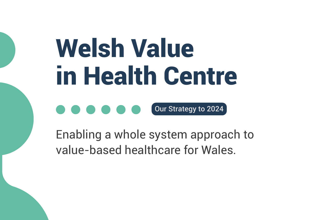# Welsh Value in Health Centre Our Strategy to 2024

Enabling a whole system approach to value-based healthcare for Wales.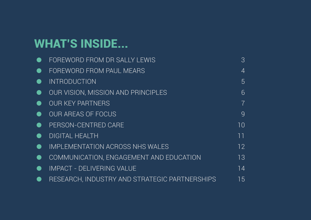# WHAT'S INSIDE...

|           | FOREWORD FROM DR SALLY LEWIS                  | $\mathcal{S}$ |
|-----------|-----------------------------------------------|---------------|
| $\bullet$ | FOREWORD FROM PAUL MEARS                      | 4             |
| $\bullet$ | <b>INTRODUCTION</b>                           | 5             |
| $\bullet$ | OUR VISION, MISSION AND PRINCIPLES            | 6             |
| $\bullet$ | <b>OUR KEY PARTNERS</b>                       |               |
| $\bullet$ | <b>OUR AREAS OF FOCUS</b>                     | $\mathsf{Q}$  |
| $\bullet$ | PERSON-CENTRED CARE                           | 10            |
| $\bullet$ | DIGITAL HEALTH                                | 11            |
| $\bullet$ | IMPLEMENTATION ACROSS NHS WALES               | 12            |
| $\bullet$ | COMMUNICATION, ENGAGEMENT AND EDUCATION       | 13            |
| $\bullet$ | <b>IMPACT - DELIVERING VALUE</b>              | 14            |
| $\bullet$ | RESEARCH, INDUSTRY AND STRATEGIC PARTNERSHIPS | 15            |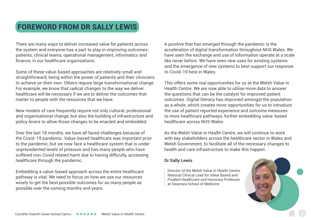### <span id="page-2-0"></span>FOREWORD FROM DR SALLY LEWIS

There are many ways to deliver increased value for patients across the system and everyone has a part to play in improving outcomes: patients, clinical teams, operational management, informatics and finance, in our healthcare organisations.

Some of these value-based approaches are relatively small and straightforward, being within the power of patients and their clinicians to achieve on their own. Others require large transformational change. For example, we know that radical changes to the way we deliver healthcare will be necessary if we are to deliver the outcomes that matter to people with the resources that we have.

New models of care frequently require not only cultural, professional and organisational change, but also the building of infrastructure and policy levers to allow those changes to be enacted and embedded.

Over the last 18 months, we have all faced challenges because of the Covid-19 pandemic. Value-based healthcare was important prior to the pandemic, but we now face a healthcare system that is under unprecedented levels of pressure and has many people who have suffered non-Covid related harm due to having difficulty, accessing healthcare through the pandemic.

Embedding a value-based approach across the entire healthcare pathway is vital. We need to focus on how we use our resources wisely to get the best possible outcomes for as many people as possible over the coming months and years.

A positive that has emerged through the pandemic is the acceleration of digital transformation throughout NHS Wales. We have seen the exchange and use of information operate at a scale like never before. We have seen new uses for existing systems and the emergence of new systems to best support our response to Covid-19 here in Wales.

This offers some real opportunities for us at the Welsh Value in Health Centre. We are now able to utilise more data to answer the questions that can be the catalyst for improved patient outcomes. Digital literacy has improved amongst the population as a whole, which creates more opportunities for us to introduce the use of patient reported experience and outcome measures to more healthcare pathways, further embedding value-based healthcare across NHS Wales.

As the Welsh Value in Health Centre, we will continue to work with key stakeholders across the healthcare sector in Wales and Welsh Government, to facilitate all of the necessary changes to health and care infrastructure to make this happen.

#### **Dr Sally Lewis**

Director of the Welsh Value in Health Centre, National Clinical Lead for Value Based and Prudent Healthcare and Honorary Professor at Swansea School of Medicine

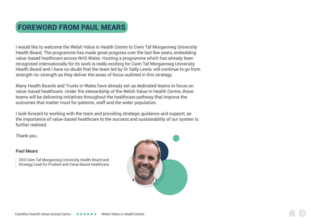### <span id="page-3-0"></span>FOREWORD FROM PAUL MEARS

I would like to welcome the Welsh Value in Health Centre to Cwm Taf Morgannwg University Health Board. The programme has made great progress over the last few years, embedding value-based healthcare across NHS Wales. Hosting a programme which has already been recognised internationally for its work is really exciting for Cwm Taf Morgannwg University Health Board and I have no doubt that the team led by Dr Sally Lewis, will continue to go from strength-to-strength as they deliver the areas of focus outlined in this strategy.

Many Health Boards and Trusts in Wales have already set up dedicated teams to focus on value-based healthcare. Under the stewardship of the Welsh Value in Health Centre, these teams will be delivering initiatives throughout the healthcare pathway that improve the outcomes that matter most for patients, staff and the wider population.

I look forward to working with the team and providing strategic guidance and support, as the importance of value-based healthcare to the success and sustainability of our system is further realised.

Thank you.

#### **Paul Mears**



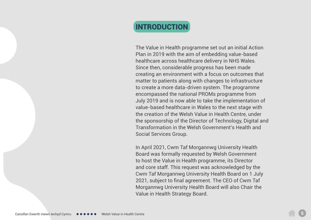### <span id="page-4-0"></span>INTRODUCTION

The Value in Health programme set out an initial Action Plan in 2019 with the aim of embedding value-based healthcare across healthcare delivery in NHS Wales. Since then, considerable progress has been made creating an environment with a focus on outcomes that matter to patients along with changes to infrastructure to create a more data-driven system. The programme encompassed the national PROMs programme from July 2019 and is now able to take the implementation of value-based healthcare in Wales to the next stage with the creation of the Welsh Value in Health Centre, under the sponsorship of the Director of Technology, Digital and Transformation in the Welsh Government's Health and Social Services Group.

In April 2021, Cwm Taf Morgannwg University Health Board was formally requested by Welsh Government to host the Value in Health programme, its Director and core staff. This request was acknowledged by the Cwm Taf Morgannwg University Health Board on 1 July 2021, subject to final agreement. The CEO of Cwm Taf Morgannwg University Health Board will also Chair the Value in Health Strategy Board.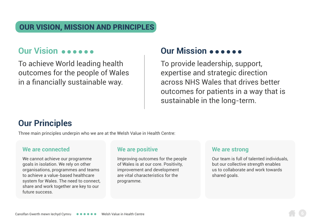### <span id="page-5-0"></span>OUR VISION, MISSION AND PRINCIPLES

## **Our Vision**

To achieve World leading health outcomes for the people of Wales in a financially sustainable way.

### **Our Mission**

To provide leadership, support, expertise and strategic direction across NHS Wales that drives better outcomes for patients in a way that is sustainable in the long-term.

## **Our Principles**

Three main principles underpin who we are at the Welsh Value in Health Centre:

#### **We are connected**

We cannot achieve our programme goals in isolation. We rely on other organisations, programmes and teams to achieve a value-based healthcare system for Wales. The need to connect, share and work together are key to our future success.

#### **We are positive**

Improving outcomes for the people of Wales is at our core. Positivity, improvement and development are vital characteristics for the programme.

#### **We are strong**

Our team is full of talented individuals, but our collective strength enables us to collaborate and work towards shared goals.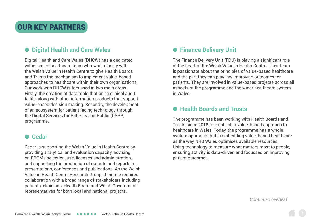### <span id="page-6-0"></span>OUR KEY PARTNERS

#### **Digital Health and Care Wales**

Digital Health and Care Wales (DHCW) has a dedicated value-based healthcare team who work closely with the Welsh Value in Health Centre to give Health Boards and Trusts the mechanism to implement value-based approaches to healthcare within their own organisations. Our work with DHCW is focussed in two main areas. Firstly, the creation of data tools that bring clinical audit to life, along with other information products that support value-based decision making. Secondly, the development of an ecosystem for patient facing technology through the Digital Services for Patients and Public (DSPP) programme.

#### ● **Cedar**

Cedar is supporting the Welsh Value in Health Centre by providing analytical and evaluation capacity, advising on PROMs selection, use, licenses and administration, and supporting the production of outputs and reports for presentations, conferences and publications. As the Welsh Value in Health Centre Research Group, their role requires collaboration with a broad range of stakeholders including patients, clinicians, Health Board and Welsh Government representatives for both local and national projects.

#### ● **Finance Delivery Unit**

The Finance Delivery Unit (FDU) is playing a significant role at the heart of the Welsh Value in Health Centre. Their team is passionate about the principles of value-based healthcare and the part they can play inw improving outcomes for patients. They are involved in value-based projects across all aspects of the programme and the wider healthcare system in Wales.

#### ● **Health Boards and Trusts**

The programme has been working with Health Boards and Trusts since 2018 to establish a value-based approach to healthcare in Wales. Today, the programme has a whole system approach that is embedding value-based healthcare as the way NHS Wales optimises available resources. Using technology to measure what matters most to people, ensuring activity is data-driven and focussed on improving patient outcomes.

*Continued overleaf*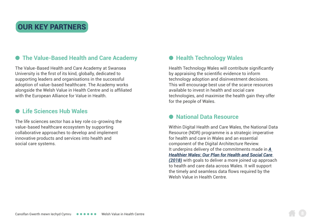### OUR KEY PARTNERS

#### ● **The Value-Based Health and Care Academy**

The Value-Based Health and Care Academy at Swansea University is the first of its kind, globally, dedicated to supporting leaders and organisations in the successful adoption of value-based healthcare. The Academy works alongside the Welsh Value in Health Centre and is affiliated with the European Alliance for Value in Health.

#### ● **Life Sciences Hub Wales**

The life sciences sector has a key role co-growing the value-based healthcare ecosystem by supporting collaborative approaches to develop and implement innovative products and services into health and social care systems.

#### ● **Health Technology Wales**

Health Technology Wales will contribute significantly by appraising the scientific evidence to inform technology adoption and disinvestment decisions. This will encourage best use of the scarce resources available to invest in health and social care technologies, and maximise the health gain they offer for the people of Wales.

#### ● **National Data Resource**

Within Digital Health and Care Wales, the National Data Resource (NDR) programme is a strategic imperative for health and care in Wales and an essential component of the Digital Architecture Review. It underpins delivery of the commitments made in *[A](https://gov.wales/sites/default/files/publications/2019-10/a-healthier-wales-action-plan.pdf)  [Healthier Wales: Our Plan for Health and Social Care](https://gov.wales/sites/default/files/publications/2019-10/a-healthier-wales-action-plan.pdf)  [\(2018\)](https://gov.wales/sites/default/files/publications/2019-10/a-healthier-wales-action-plan.pdf)* with goals to deliver a more joined up approach to health and care data across Wales. It will support the timely and seamless data flows required by the Welsh Value in Health Centre.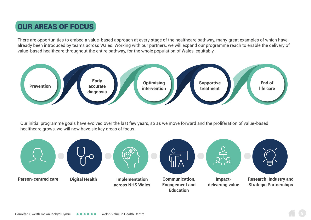# <span id="page-8-0"></span>OUR AREAS OF FOCUS

There are opportunities to embed a value-based approach at every stage of the healthcare pathway, many great examples of which have already been introduced by teams across Wales. Working with our partners, we will expand our programme reach to enable the delivery of value-based healthcare throughout the entire pathway, for the whole population of Wales, equitably.



Our initial programme goals have evolved over the last few years, so as we move forward and the proliferation of value-based healthcare grows, we will now have six key areas of focus.

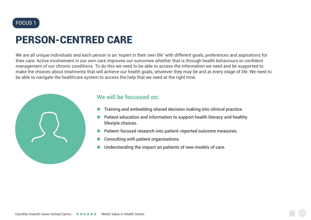<span id="page-9-0"></span>

# PERSON-CENTRED CARE

We are all unique individuals and each person is an 'expert in their own life' with different goals, preferences and aspirations for their care. Active involvement in our own care improves our outcomes whether that is through health behaviours or confident management of our chronic conditions. To do this we need to be able to access the information we need and be supported to make the choices about treatments that will achieve our health goals, whatever they may be and at every stage of life. We need to be able to navigate the healthcare system to access the help that we need at the right time.



- Training and embedding shared decision making into clinical practice.
- Patient education and information to support health literacy and healthy lifestyle choices.
- Patient-focused research into patient-reported outcome measures.
- Consulting with patient organisations.
- Understanding the impact on patients of new models of care.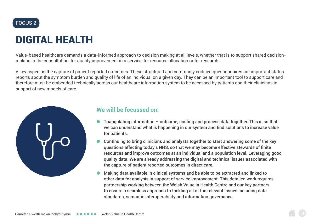<span id="page-10-0"></span>

# DIGITAL HEALTH

Value-based healthcare demands a data-informed approach to decision making at all levels, whether that is to support shared decisionmaking in the consultation, for quality improvement in a service, for resource allocation or for research.

A key aspect is the capture of patient reported outcomes. These structured and commonly codified questionnaires are important status reports about the symptom burden and quality of life of an individual on a given day. They can be an important tool to support care and therefore must be embedded technically across our healthcare information system to be accessed by patients and their clinicians in support of new models of care.



- Triangulating information outcome, costing and process data together. This is so that we can understand what is happening in our system and find solutions to increase value for patients.
- Continuing to bring clinicians and analysts together to start answering some of the key questions affecting today's NHS, so that we may become effective stewards of finite resources and improve outcomes at an individual and a population level. Leveraging good quality data. We are already addressing the digital and technical issues associated with the capture of patient reported outcomes in direct care.
- Making data available in clinical systems and be able to be extracted and linked to other data for analysis in support of service improvement. This detailed work requires partnership working between the Welsh Value in Health Centre and our key partners to ensure a seamless approach to tackling all of the relevant issues including data standards, semantic interoperability and information governance.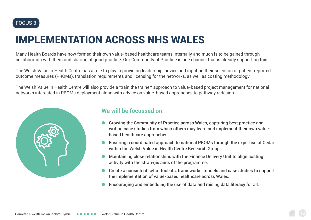<span id="page-11-0"></span>

# IMPLEMENTATION ACROSS NHS WALES

Many Health Boards have now formed their own value-based healthcare teams internally and much is to be gained through collaboration with them and sharing of good practice. Our Community of Practice is one channel that is already supporting this.

The Welsh Value in Health Centre has a role to play in providing leadership, advice and input on their selection of patient reported outcome measures (PROMs), translation requirements and licensing for the networks, as well as costing methodology.

The Welsh Value in Health Centre will also provide a 'train the trainer' approach to value-based project management for national networks interested in PROMs deployment along with advice on value-based approaches to pathway redesign.



- Growing the Community of Practice across Wales, capturing best practice and writing case studies from which others may learn and implement their own valuebased healthcare approaches.
- Ensuring a coordinated approach to national PROMs through the expertise of Cedar within the Welsh Value in Health Centre Research Group.
- Maintaining close relationships with the Finance Delivery Unit to align costing activity with the strategic aims of the programme.
- Create a consistent set of toolkits, frameworks, models and case studies to support the implementation of value-based healthcare across Wales.
- Encouraging and embedding the use of data and raising data literacy for all.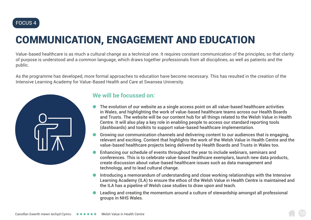<span id="page-12-0"></span>

# COMMUNICATION, ENGAGEMENT AND EDUCATION

Value-based healthcare is as much a cultural change as a technical one. It requires constant communication of the principles, so that clarity of purpose is understood and a common language, which draws together professionals from all disciplines, as well as patients and the public.

As the programme has developed, more formal approaches to education have become necessary. This has resulted in the creation of the Intensive Learning Academy for Value-Based Health and Care at Swansea University.



- The evolution of our website as a single access point on all value-based healthcare activities in Wales, and highlighting the work of value-based healthcare teams across our Health Boards and Trusts. The website will be our content hub for all things related to the Welsh Value in Health Centre. It will also play a key role in enabling people to access our standard reporting tools (dashboards) and toolkits to support value-based healthcare implementation.
- Growing our communication channels and delivering content to our audiences that is engaging, relevant and exciting. Content that highlights the work of the Welsh Value in Health Centre and the value-based healthcare projects being delivered by Health Boards and Trusts in Wales too.
- Enhancing our schedule of events throughout the year to include webinars, seminars and conferences. This is to celebrate value-based healthcare exemplars, launch new data products, create discussion about value-based healthcare issues such as data management and technology, and to lead cultural change.
- Introducing a memorandum of understanding and close working relationships with the Intensive Learning Academy (ILA) to ensure the ethos of the Welsh Value in Health Centre is maintained and the ILA has a pipeline of Welsh case studies to draw upon and teach.
- Leading and creating the momentum around a culture of stewardship amongst all professional groups in NHS Wales.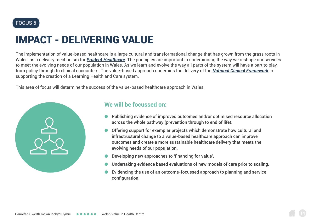<span id="page-13-0"></span>

# IMPACT - DELIVERING VALUE

The implementation of value-based healthcare is a large cultural and transformational change that has grown from the grass roots in Wales, as a delivery mechanism for *[Prudent Healthcare](https://gov.wales/sites/default/files/publications/2019-04/securing-health-and-well-being-for-future-generations.pdf)*. The principles are important in underpinning the way we reshape our services to meet the evolving needs of our population in Wales. As we learn and evolve the way all parts of the system will have a part to play, from policy through to clinical encounters. The value-based approach underpins the delivery of the *[National Clinical Framework](https://gov.wales/sites/default/files/publications/2021-05/national-clinical-framework-a-learning-health-and-care-system_0.pdf)* in supporting the creation of a Learning Health and Care system.

This area of focus will determine the success of the value-based healthcare approach in Wales.



- Publishing evidence of improved outcomes and/or optimised resource allocation across the whole pathway (prevention through to end of life).
- Offering support for exemplar projects which demonstrate how cultural and infrastructural change to a value-based healthcare approach can improve outcomes and create a more sustainable healthcare delivery that meets the evolving needs of our population.
- Developing new approaches to 'financing for value'.
- Undertaking evidence based evaluations of new models of care prior to scaling.
- Evidencing the use of an outcome-focussed approach to planning and service configuration.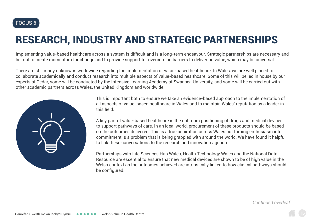<span id="page-14-0"></span>

# RESEARCH, INDUSTRY AND STRATEGIC PARTNERSHIPS

Implementing value-based healthcare across a system is difficult and is a long-term endeavour. Strategic partnerships are necessary and helpful to create momentum for change and to provide support for overcoming barriers to delivering value, which may be universal.

There are still many unknowns worldwide regarding the implementation of value-based healthcare. In Wales, we are well placed to collaborate academically and conduct research into multiple aspects of value-based healthcare. Some of this will be led in house by our experts at Cedar, some will be conducted by the Intensive Learning Academy at Swansea University, and some will be carried out with other academic partners across Wales, the United Kingdom and worldwide.



This is important both to ensure we take an evidence-based approach to the implementation of all aspects of value-based healthcare in Wales and to maintain Wales' reputation as a leader in this field.

A key part of value-based healthcare is the optimum positioning of drugs and medical devices to support pathways of care. In an ideal world, procurement of these products should be based on the outcomes delivered. This is a true aspiration across Wales but turning enthusiasm into commitment is a problem that is being grappled with around the world. We have found it helpful to link these conversations to the research and innovation agenda.

Partnerships with Life Sciences Hub Wales, Health Technology Wales and the National Data Resource are essential to ensure that new medical devices are shown to be of high value in the Welsh context as the outcomes achieved are intrinsically linked to how clinical pathways should be configured.

*Continued overleaf*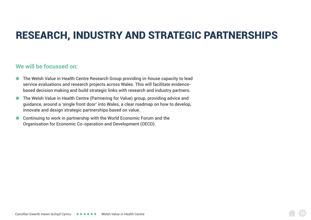# RESEARCH, INDUSTRY AND STRATEGIC PARTNERSHIPS

- The Welsh Value in Health Centre Research Group providing in-house capacity to lead service evaluations and research projects across Wales. This will facilitate evidencebased decision making and build strategic links with research and industry partners.
- The Welsh Value in Health Centre (Partnering for Value) group, providing advice and guidance, around a 'single front door' into Wales, a clear roadmap on how to develop, innovate and design strategic partnerships based on value.
- Continuing to work in partnership with the World Economic Forum and the Organisation for Economic Co-operation and Development (OECD).